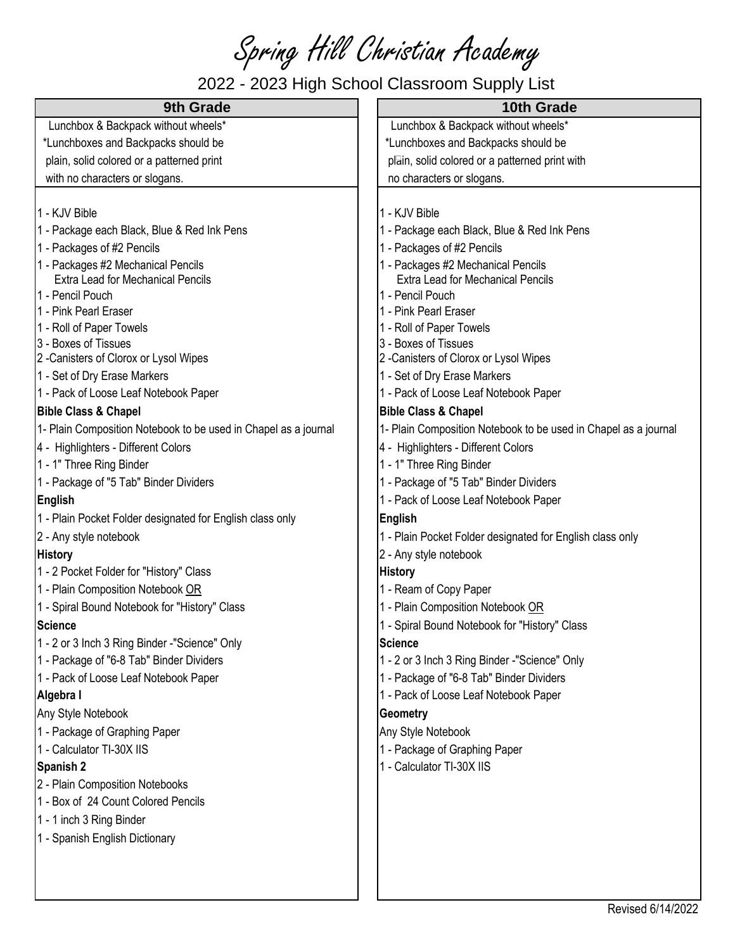Spring Hill Christian Academy

## 2022 - 2023 High School Classroom Supply List

| 2022 - 2023 High School Classroom Supply List                   |                                                                 |  |
|-----------------------------------------------------------------|-----------------------------------------------------------------|--|
| 9th Grade                                                       | 10th Grade                                                      |  |
| Lunchbox & Backpack without wheels*                             | Lunchbox & Backpack without wheels*                             |  |
| *Lunchboxes and Backpacks should be                             | *Lunchboxes and Backpacks should be                             |  |
| plain, solid colored or a patterned print                       | plain, solid colored or a patterned print with                  |  |
| with no characters or slogans.                                  | no characters or slogans.                                       |  |
|                                                                 |                                                                 |  |
| 1 - KJV Bible                                                   | 1 - KJV Bible                                                   |  |
| 1 - Package each Black, Blue & Red Ink Pens                     | 1 - Package each Black, Blue & Red Ink Pens                     |  |
| 1 - Packages of #2 Pencils                                      | 1 - Packages of #2 Pencils                                      |  |
| 1 - Packages #2 Mechanical Pencils                              | 1 - Packages #2 Mechanical Pencils                              |  |
| Extra Lead for Mechanical Pencils                               | Extra Lead for Mechanical Pencils                               |  |
| 1 - Pencil Pouch                                                | 1 - Pencil Pouch                                                |  |
| 1 - Pink Pearl Eraser                                           | 1 - Pink Pearl Eraser                                           |  |
| 1 - Roll of Paper Towels<br>3 - Boxes of Tissues                | 1 - Roll of Paper Towels<br>3 - Boxes of Tissues                |  |
| 2 -Canisters of Clorox or Lysol Wipes                           | 2 - Canisters of Clorox or Lysol Wipes                          |  |
| 1 - Set of Dry Erase Markers                                    | 1 - Set of Dry Erase Markers                                    |  |
| 1 - Pack of Loose Leaf Notebook Paper                           | 1 - Pack of Loose Leaf Notebook Paper                           |  |
| <b>Bible Class &amp; Chapel</b>                                 | <b>Bible Class &amp; Chapel</b>                                 |  |
| 1- Plain Composition Notebook to be used in Chapel as a journal | 1- Plain Composition Notebook to be used in Chapel as a journal |  |
| 4 - Highlighters - Different Colors                             | 4 - Highlighters - Different Colors                             |  |
| 1 - 1" Three Ring Binder                                        | 1 - 1" Three Ring Binder                                        |  |
| 1 - Package of "5 Tab" Binder Dividers                          | 1 - Package of "5 Tab" Binder Dividers                          |  |
| <b>English</b>                                                  | 1 - Pack of Loose Leaf Notebook Paper                           |  |
| 1 - Plain Pocket Folder designated for English class only       | <b>English</b>                                                  |  |
| 2 - Any style notebook                                          | 1 - Plain Pocket Folder designated for English class only       |  |
| <b>History</b>                                                  | 2 - Any style notebook                                          |  |
| 1 - 2 Pocket Folder for "History" Class                         | <b>History</b>                                                  |  |
| 1 - Plain Composition Notebook OR                               | 1 - Ream of Copy Paper                                          |  |
| 1 - Spiral Bound Notebook for "History" Class                   | 1 - Plain Composition Notebook OR                               |  |
|                                                                 | 1 - Spiral Bound Notebook for "History" Class                   |  |
| Science<br>1 - 2 or 3 Inch 3 Ring Binder -"Science" Only        | <b>Science</b>                                                  |  |
| 1 - Package of "6-8 Tab" Binder Dividers                        | 1 - 2 or 3 Inch 3 Ring Binder -"Science" Only                   |  |
| 1 - Pack of Loose Leaf Notebook Paper                           | 1 - Package of "6-8 Tab" Binder Dividers                        |  |
| Algebra I                                                       | 1 - Pack of Loose Leaf Notebook Paper                           |  |
| Any Style Notebook                                              | Geometry                                                        |  |
| 1 - Package of Graphing Paper                                   |                                                                 |  |
| 1 - Calculator TI-30X IIS                                       | Any Style Notebook                                              |  |
|                                                                 | 1 - Package of Graphing Paper<br>1 - Calculator TI-30X IIS      |  |
| Spanish 2<br>2 - Plain Composition Notebooks                    |                                                                 |  |
| 1 - Box of 24 Count Colored Pencils                             |                                                                 |  |
|                                                                 |                                                                 |  |
| 1 - 1 inch 3 Ring Binder                                        |                                                                 |  |
| 1 - Spanish English Dictionary                                  |                                                                 |  |
|                                                                 |                                                                 |  |
|                                                                 |                                                                 |  |